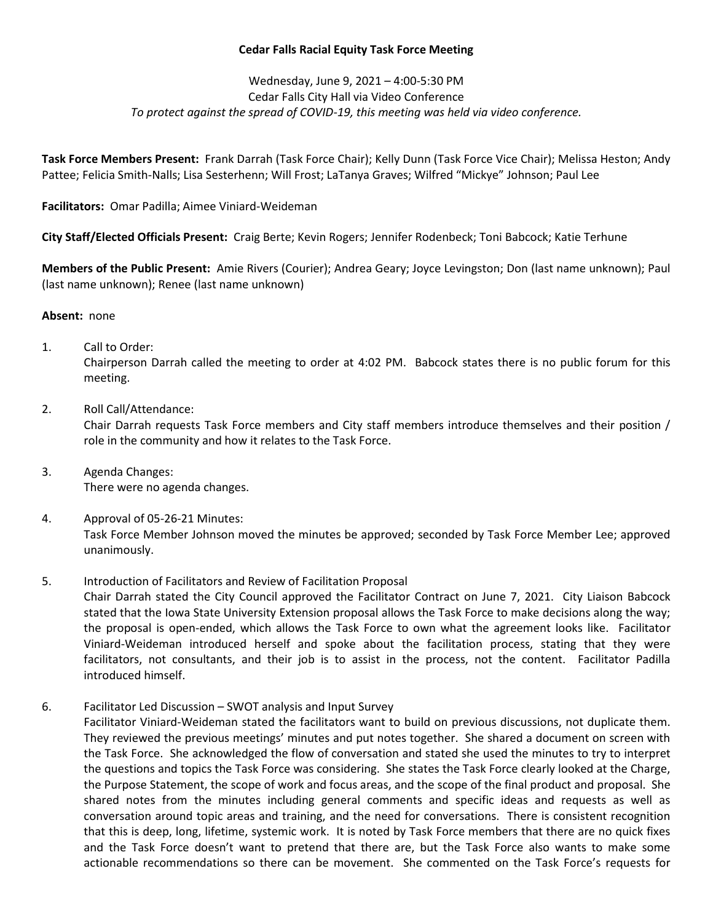## **Cedar Falls Racial Equity Task Force Meeting**

Wednesday, June 9, 2021 – 4:00-5:30 PM Cedar Falls City Hall via Video Conference *To protect against the spread of COVID-19, this meeting was held via video conference.*

**Task Force Members Present:** Frank Darrah (Task Force Chair); Kelly Dunn (Task Force Vice Chair); Melissa Heston; Andy Pattee; Felicia Smith-Nalls; Lisa Sesterhenn; Will Frost; LaTanya Graves; Wilfred "Mickye" Johnson; Paul Lee

**Facilitators:** Omar Padilla; Aimee Viniard-Weideman

**City Staff/Elected Officials Present:** Craig Berte; Kevin Rogers; Jennifer Rodenbeck; Toni Babcock; Katie Terhune

**Members of the Public Present:** Amie Rivers (Courier); Andrea Geary; Joyce Levingston; Don (last name unknown); Paul (last name unknown); Renee (last name unknown)

## **Absent:** none

1. Call to Order:

Chairperson Darrah called the meeting to order at 4:02 PM. Babcock states there is no public forum for this meeting.

2. Roll Call/Attendance:

Chair Darrah requests Task Force members and City staff members introduce themselves and their position / role in the community and how it relates to the Task Force.

- 3. Agenda Changes: There were no agenda changes.
- 4. Approval of 05-26-21 Minutes: Task Force Member Johnson moved the minutes be approved; seconded by Task Force Member Lee; approved unanimously.
- 5. Introduction of Facilitators and Review of Facilitation Proposal

Chair Darrah stated the City Council approved the Facilitator Contract on June 7, 2021. City Liaison Babcock stated that the Iowa State University Extension proposal allows the Task Force to make decisions along the way; the proposal is open-ended, which allows the Task Force to own what the agreement looks like. Facilitator Viniard-Weideman introduced herself and spoke about the facilitation process, stating that they were facilitators, not consultants, and their job is to assist in the process, not the content. Facilitator Padilla introduced himself.

6. Facilitator Led Discussion – SWOT analysis and Input Survey

Facilitator Viniard-Weideman stated the facilitators want to build on previous discussions, not duplicate them. They reviewed the previous meetings' minutes and put notes together. She shared a document on screen with the Task Force. She acknowledged the flow of conversation and stated she used the minutes to try to interpret the questions and topics the Task Force was considering. She states the Task Force clearly looked at the Charge, the Purpose Statement, the scope of work and focus areas, and the scope of the final product and proposal. She shared notes from the minutes including general comments and specific ideas and requests as well as conversation around topic areas and training, and the need for conversations. There is consistent recognition that this is deep, long, lifetime, systemic work. It is noted by Task Force members that there are no quick fixes and the Task Force doesn't want to pretend that there are, but the Task Force also wants to make some actionable recommendations so there can be movement. She commented on the Task Force's requests for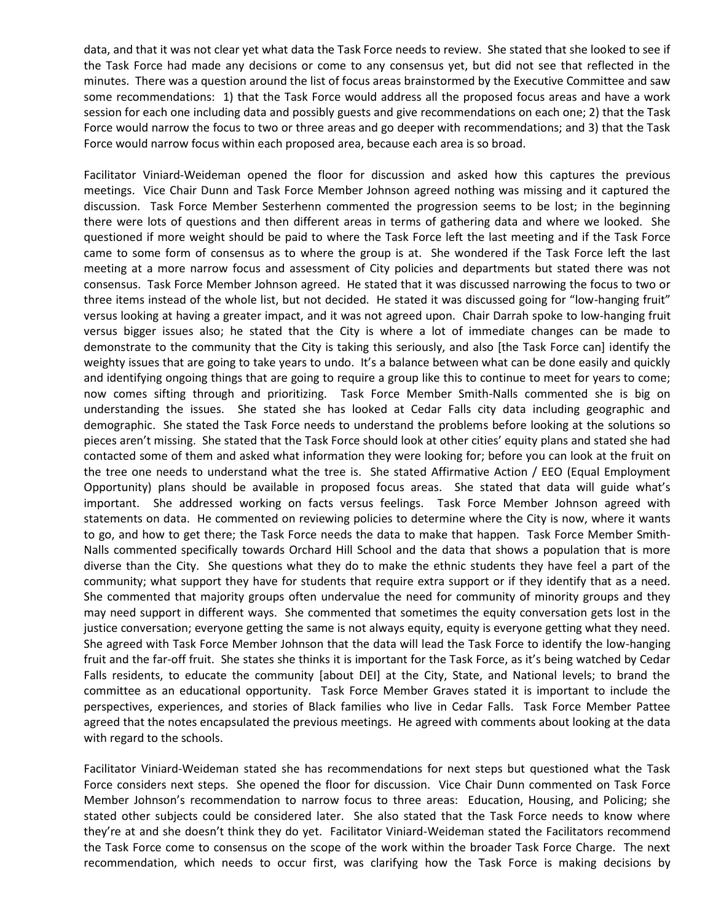data, and that it was not clear yet what data the Task Force needs to review. She stated that she looked to see if the Task Force had made any decisions or come to any consensus yet, but did not see that reflected in the minutes. There was a question around the list of focus areas brainstormed by the Executive Committee and saw some recommendations: 1) that the Task Force would address all the proposed focus areas and have a work session for each one including data and possibly guests and give recommendations on each one; 2) that the Task Force would narrow the focus to two or three areas and go deeper with recommendations; and 3) that the Task Force would narrow focus within each proposed area, because each area is so broad.

Facilitator Viniard-Weideman opened the floor for discussion and asked how this captures the previous meetings. Vice Chair Dunn and Task Force Member Johnson agreed nothing was missing and it captured the discussion. Task Force Member Sesterhenn commented the progression seems to be lost; in the beginning there were lots of questions and then different areas in terms of gathering data and where we looked. She questioned if more weight should be paid to where the Task Force left the last meeting and if the Task Force came to some form of consensus as to where the group is at. She wondered if the Task Force left the last meeting at a more narrow focus and assessment of City policies and departments but stated there was not consensus. Task Force Member Johnson agreed. He stated that it was discussed narrowing the focus to two or three items instead of the whole list, but not decided. He stated it was discussed going for "low-hanging fruit" versus looking at having a greater impact, and it was not agreed upon. Chair Darrah spoke to low-hanging fruit versus bigger issues also; he stated that the City is where a lot of immediate changes can be made to demonstrate to the community that the City is taking this seriously, and also [the Task Force can] identify the weighty issues that are going to take years to undo. It's a balance between what can be done easily and quickly and identifying ongoing things that are going to require a group like this to continue to meet for years to come; now comes sifting through and prioritizing. Task Force Member Smith-Nalls commented she is big on understanding the issues. She stated she has looked at Cedar Falls city data including geographic and demographic. She stated the Task Force needs to understand the problems before looking at the solutions so pieces aren't missing. She stated that the Task Force should look at other cities' equity plans and stated she had contacted some of them and asked what information they were looking for; before you can look at the fruit on the tree one needs to understand what the tree is. She stated Affirmative Action / EEO (Equal Employment Opportunity) plans should be available in proposed focus areas. She stated that data will guide what's important. She addressed working on facts versus feelings. Task Force Member Johnson agreed with statements on data. He commented on reviewing policies to determine where the City is now, where it wants to go, and how to get there; the Task Force needs the data to make that happen. Task Force Member Smith-Nalls commented specifically towards Orchard Hill School and the data that shows a population that is more diverse than the City. She questions what they do to make the ethnic students they have feel a part of the community; what support they have for students that require extra support or if they identify that as a need. She commented that majority groups often undervalue the need for community of minority groups and they may need support in different ways. She commented that sometimes the equity conversation gets lost in the justice conversation; everyone getting the same is not always equity, equity is everyone getting what they need. She agreed with Task Force Member Johnson that the data will lead the Task Force to identify the low-hanging fruit and the far-off fruit. She states she thinks it is important for the Task Force, as it's being watched by Cedar Falls residents, to educate the community [about DEI] at the City, State, and National levels; to brand the committee as an educational opportunity. Task Force Member Graves stated it is important to include the perspectives, experiences, and stories of Black families who live in Cedar Falls. Task Force Member Pattee agreed that the notes encapsulated the previous meetings. He agreed with comments about looking at the data with regard to the schools.

Facilitator Viniard-Weideman stated she has recommendations for next steps but questioned what the Task Force considers next steps. She opened the floor for discussion. Vice Chair Dunn commented on Task Force Member Johnson's recommendation to narrow focus to three areas: Education, Housing, and Policing; she stated other subjects could be considered later. She also stated that the Task Force needs to know where they're at and she doesn't think they do yet. Facilitator Viniard-Weideman stated the Facilitators recommend the Task Force come to consensus on the scope of the work within the broader Task Force Charge. The next recommendation, which needs to occur first, was clarifying how the Task Force is making decisions by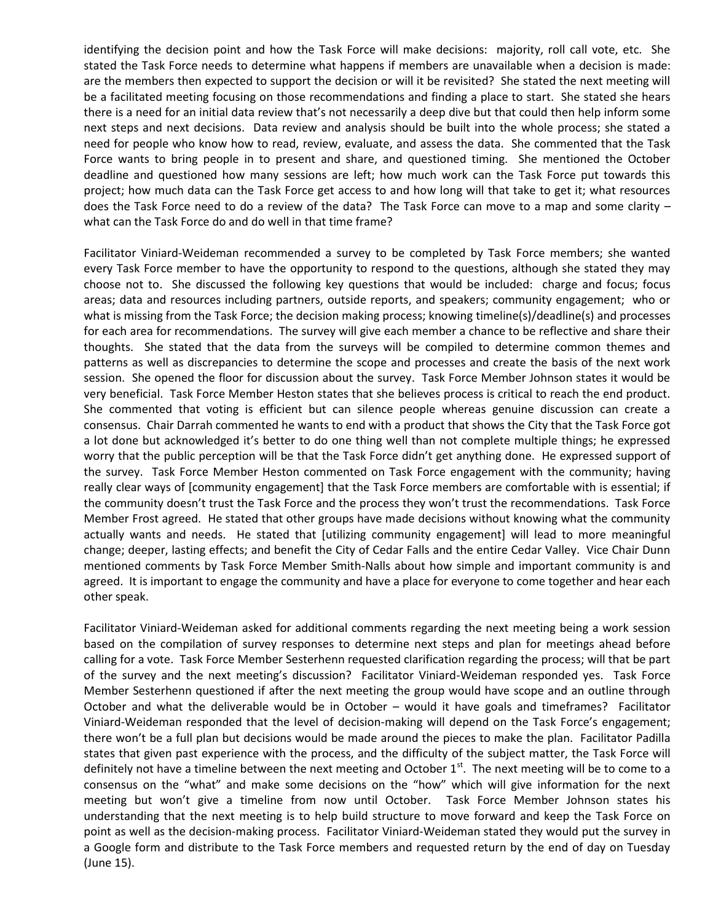identifying the decision point and how the Task Force will make decisions: majority, roll call vote, etc. She stated the Task Force needs to determine what happens if members are unavailable when a decision is made: are the members then expected to support the decision or will it be revisited? She stated the next meeting will be a facilitated meeting focusing on those recommendations and finding a place to start. She stated she hears there is a need for an initial data review that's not necessarily a deep dive but that could then help inform some next steps and next decisions. Data review and analysis should be built into the whole process; she stated a need for people who know how to read, review, evaluate, and assess the data. She commented that the Task Force wants to bring people in to present and share, and questioned timing. She mentioned the October deadline and questioned how many sessions are left; how much work can the Task Force put towards this project; how much data can the Task Force get access to and how long will that take to get it; what resources does the Task Force need to do a review of the data? The Task Force can move to a map and some clarity – what can the Task Force do and do well in that time frame?

Facilitator Viniard-Weideman recommended a survey to be completed by Task Force members; she wanted every Task Force member to have the opportunity to respond to the questions, although she stated they may choose not to. She discussed the following key questions that would be included: charge and focus; focus areas; data and resources including partners, outside reports, and speakers; community engagement; who or what is missing from the Task Force; the decision making process; knowing timeline(s)/deadline(s) and processes for each area for recommendations. The survey will give each member a chance to be reflective and share their thoughts. She stated that the data from the surveys will be compiled to determine common themes and patterns as well as discrepancies to determine the scope and processes and create the basis of the next work session. She opened the floor for discussion about the survey. Task Force Member Johnson states it would be very beneficial. Task Force Member Heston states that she believes process is critical to reach the end product. She commented that voting is efficient but can silence people whereas genuine discussion can create a consensus. Chair Darrah commented he wants to end with a product that shows the City that the Task Force got a lot done but acknowledged it's better to do one thing well than not complete multiple things; he expressed worry that the public perception will be that the Task Force didn't get anything done. He expressed support of the survey. Task Force Member Heston commented on Task Force engagement with the community; having really clear ways of [community engagement] that the Task Force members are comfortable with is essential; if the community doesn't trust the Task Force and the process they won't trust the recommendations. Task Force Member Frost agreed. He stated that other groups have made decisions without knowing what the community actually wants and needs. He stated that [utilizing community engagement] will lead to more meaningful change; deeper, lasting effects; and benefit the City of Cedar Falls and the entire Cedar Valley. Vice Chair Dunn mentioned comments by Task Force Member Smith-Nalls about how simple and important community is and agreed. It is important to engage the community and have a place for everyone to come together and hear each other speak.

Facilitator Viniard-Weideman asked for additional comments regarding the next meeting being a work session based on the compilation of survey responses to determine next steps and plan for meetings ahead before calling for a vote. Task Force Member Sesterhenn requested clarification regarding the process; will that be part of the survey and the next meeting's discussion? Facilitator Viniard-Weideman responded yes. Task Force Member Sesterhenn questioned if after the next meeting the group would have scope and an outline through October and what the deliverable would be in October – would it have goals and timeframes? Facilitator Viniard-Weideman responded that the level of decision-making will depend on the Task Force's engagement; there won't be a full plan but decisions would be made around the pieces to make the plan. Facilitator Padilla states that given past experience with the process, and the difficulty of the subject matter, the Task Force will definitely not have a timeline between the next meeting and October  $1<sup>st</sup>$ . The next meeting will be to come to a consensus on the "what" and make some decisions on the "how" which will give information for the next meeting but won't give a timeline from now until October. Task Force Member Johnson states his understanding that the next meeting is to help build structure to move forward and keep the Task Force on point as well as the decision-making process. Facilitator Viniard-Weideman stated they would put the survey in a Google form and distribute to the Task Force members and requested return by the end of day on Tuesday (June 15).